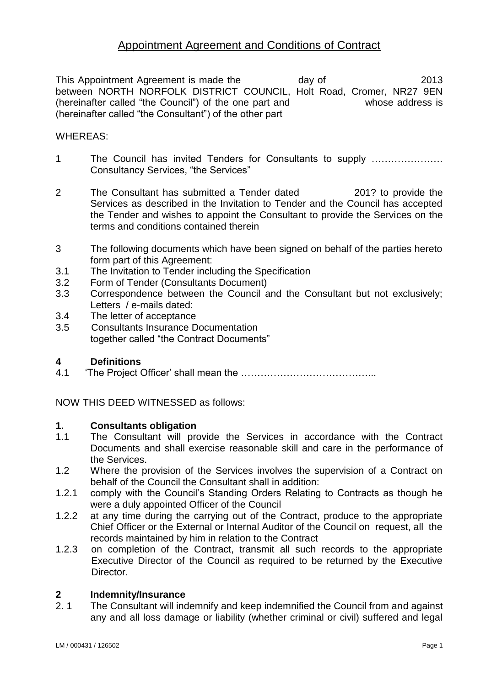This Appointment Agreement is made the day of 2013 between NORTH NORFOLK DISTRICT COUNCIL, Holt Road, Cromer, NR27 9EN (hereinafter called "the Council") of the one part and whose address is (hereinafter called "the Consultant") of the other part

# WHEREAS:

- 1 The Council has invited Tenders for Consultants to supply …………………. Consultancy Services, "the Services"
- 2 The Consultant has submitted a Tender dated 201? to provide the Services as described in the Invitation to Tender and the Council has accepted the Tender and wishes to appoint the Consultant to provide the Services on the terms and conditions contained therein
- 3 The following documents which have been signed on behalf of the parties hereto form part of this Agreement:
- 3.1 The Invitation to Tender including the Specification
- 3.2 Form of Tender (Consultants Document)
- 3.3 Correspondence between the Council and the Consultant but not exclusively; Letters / e-mails dated:
- 3.4 The letter of acceptance
- 3.5 Consultants Insurance Documentation together called "the Contract Documents"

# **4 Definitions**

4.1 'The Project Officer' shall mean the …………………………………...

NOW THIS DEED WITNESSED as follows:

#### **1. Consultants obligation**

- 1.1 The Consultant will provide the Services in accordance with the Contract Documents and shall exercise reasonable skill and care in the performance of the Services.
- 1.2 Where the provision of the Services involves the supervision of a Contract on behalf of the Council the Consultant shall in addition:
- 1.2.1 comply with the Council's Standing Orders Relating to Contracts as though he were a duly appointed Officer of the Council
- 1.2.2 at any time during the carrying out of the Contract, produce to the appropriate Chief Officer or the External or Internal Auditor of the Council on request, all the records maintained by him in relation to the Contract
- 1.2.3 on completion of the Contract, transmit all such records to the appropriate Executive Director of the Council as required to be returned by the Executive Director.

# **2 Indemnity/Insurance**

2. 1 The Consultant will indemnify and keep indemnified the Council from and against any and all loss damage or liability (whether criminal or civil) suffered and legal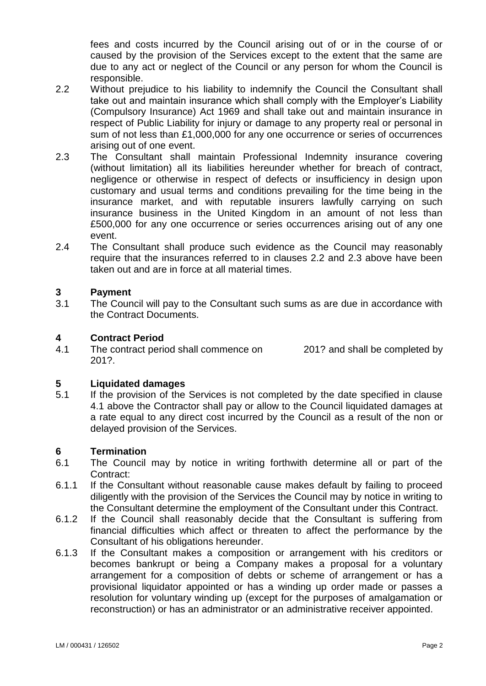fees and costs incurred by the Council arising out of or in the course of or caused by the provision of the Services except to the extent that the same are due to any act or neglect of the Council or any person for whom the Council is responsible.

- 2.2 Without prejudice to his liability to indemnify the Council the Consultant shall take out and maintain insurance which shall comply with the Employer's Liability (Compulsory Insurance) Act 1969 and shall take out and maintain insurance in respect of Public Liability for injury or damage to any property real or personal in sum of not less than £1,000,000 for any one occurrence or series of occurrences arising out of one event.
- 2.3 The Consultant shall maintain Professional Indemnity insurance covering (without limitation) all its liabilities hereunder whether for breach of contract, negligence or otherwise in respect of defects or insufficiency in design upon customary and usual terms and conditions prevailing for the time being in the insurance market, and with reputable insurers lawfully carrying on such insurance business in the United Kingdom in an amount of not less than £500,000 for any one occurrence or series occurrences arising out of any one event.
- 2.4 The Consultant shall produce such evidence as the Council may reasonably require that the insurances referred to in clauses 2.2 and 2.3 above have been taken out and are in force at all material times.

# **3 Payment**

3.1 The Council will pay to the Consultant such sums as are due in accordance with the Contract Documents.

# **4 Contract Period**

4.1 The contract period shall commence on 201? and shall be completed by 201?.

# **5 Liquidated damages**

5.1 If the provision of the Services is not completed by the date specified in clause 4.1 above the Contractor shall pay or allow to the Council liquidated damages at a rate equal to any direct cost incurred by the Council as a result of the non or delayed provision of the Services.

# **6 Termination**

- 6.1 The Council may by notice in writing forthwith determine all or part of the Contract:
- 6.1.1 If the Consultant without reasonable cause makes default by failing to proceed diligently with the provision of the Services the Council may by notice in writing to the Consultant determine the employment of the Consultant under this Contract.
- 6.1.2 If the Council shall reasonably decide that the Consultant is suffering from financial difficulties which affect or threaten to affect the performance by the Consultant of his obligations hereunder.
- 6.1.3 If the Consultant makes a composition or arrangement with his creditors or becomes bankrupt or being a Company makes a proposal for a voluntary arrangement for a composition of debts or scheme of arrangement or has a provisional liquidator appointed or has a winding up order made or passes a resolution for voluntary winding up (except for the purposes of amalgamation or reconstruction) or has an administrator or an administrative receiver appointed.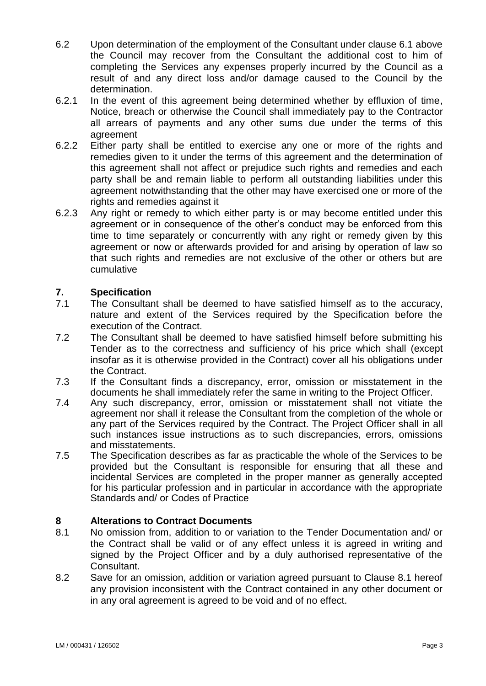- 6.2 Upon determination of the employment of the Consultant under clause 6.1 above the Council may recover from the Consultant the additional cost to him of completing the Services any expenses properly incurred by the Council as a result of and any direct loss and/or damage caused to the Council by the determination.
- 6.2.1 In the event of this agreement being determined whether by effluxion of time, Notice, breach or otherwise the Council shall immediately pay to the Contractor all arrears of payments and any other sums due under the terms of this agreement
- 6.2.2 Either party shall be entitled to exercise any one or more of the rights and remedies given to it under the terms of this agreement and the determination of this agreement shall not affect or prejudice such rights and remedies and each party shall be and remain liable to perform all outstanding liabilities under this agreement notwithstanding that the other may have exercised one or more of the rights and remedies against it
- 6.2.3 Any right or remedy to which either party is or may become entitled under this agreement or in consequence of the other's conduct may be enforced from this time to time separately or concurrently with any right or remedy given by this agreement or now or afterwards provided for and arising by operation of law so that such rights and remedies are not exclusive of the other or others but are cumulative

# **7. Specification**

- 7.1 The Consultant shall be deemed to have satisfied himself as to the accuracy, nature and extent of the Services required by the Specification before the execution of the Contract.
- 7.2 The Consultant shall be deemed to have satisfied himself before submitting his Tender as to the correctness and sufficiency of his price which shall (except insofar as it is otherwise provided in the Contract) cover all his obligations under the Contract.
- 7.3 If the Consultant finds a discrepancy, error, omission or misstatement in the documents he shall immediately refer the same in writing to the Project Officer.
- 7.4 Any such discrepancy, error, omission or misstatement shall not vitiate the agreement nor shall it release the Consultant from the completion of the whole or any part of the Services required by the Contract. The Project Officer shall in all such instances issue instructions as to such discrepancies, errors, omissions and misstatements.
- 7.5 The Specification describes as far as practicable the whole of the Services to be provided but the Consultant is responsible for ensuring that all these and incidental Services are completed in the proper manner as generally accepted for his particular profession and in particular in accordance with the appropriate Standards and/ or Codes of Practice

# **8 Alterations to Contract Documents**

- 8.1 No omission from, addition to or variation to the Tender Documentation and/ or the Contract shall be valid or of any effect unless it is agreed in writing and signed by the Project Officer and by a duly authorised representative of the Consultant.
- 8.2 Save for an omission, addition or variation agreed pursuant to Clause 8.1 hereof any provision inconsistent with the Contract contained in any other document or in any oral agreement is agreed to be void and of no effect.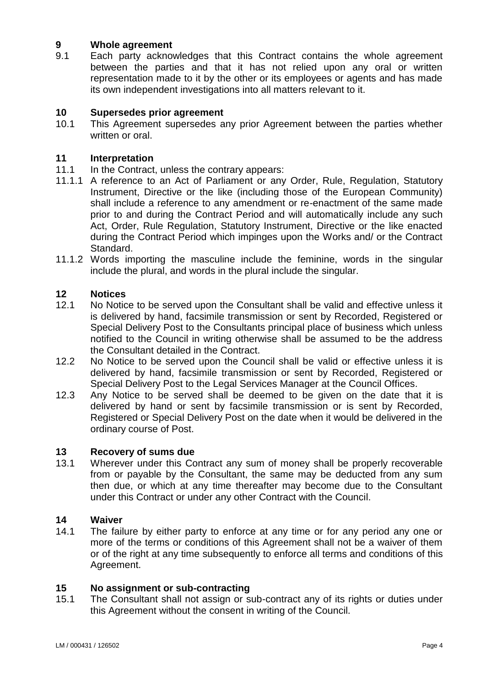# **9 Whole agreement**

9.1 Each party acknowledges that this Contract contains the whole agreement between the parties and that it has not relied upon any oral or written representation made to it by the other or its employees or agents and has made its own independent investigations into all matters relevant to it.

# **10 Supersedes prior agreement**

This Agreement supersedes any prior Agreement between the parties whether written or oral.

# **11 Interpretation**

- In the Contract, unless the contrary appears:
- 11.1.1 A reference to an Act of Parliament or any Order, Rule, Regulation, Statutory Instrument, Directive or the like (including those of the European Community) shall include a reference to any amendment or re-enactment of the same made prior to and during the Contract Period and will automatically include any such Act, Order, Rule Regulation, Statutory Instrument, Directive or the like enacted during the Contract Period which impinges upon the Works and/ or the Contract Standard.
- 11.1.2 Words importing the masculine include the feminine, words in the singular include the plural, and words in the plural include the singular.

#### **12 Notices**

- 12.1 No Notice to be served upon the Consultant shall be valid and effective unless it is delivered by hand, facsimile transmission or sent by Recorded, Registered or Special Delivery Post to the Consultants principal place of business which unless notified to the Council in writing otherwise shall be assumed to be the address the Consultant detailed in the Contract.
- 12.2 No Notice to be served upon the Council shall be valid or effective unless it is delivered by hand, facsimile transmission or sent by Recorded, Registered or Special Delivery Post to the Legal Services Manager at the Council Offices.
- 12.3 Any Notice to be served shall be deemed to be given on the date that it is delivered by hand or sent by facsimile transmission or is sent by Recorded, Registered or Special Delivery Post on the date when it would be delivered in the ordinary course of Post.

#### **13 Recovery of sums due**

13.1 Wherever under this Contract any sum of money shall be properly recoverable from or payable by the Consultant, the same may be deducted from any sum then due, or which at any time thereafter may become due to the Consultant under this Contract or under any other Contract with the Council.

#### **14 Waiver**

14.1 The failure by either party to enforce at any time or for any period any one or more of the terms or conditions of this Agreement shall not be a waiver of them or of the right at any time subsequently to enforce all terms and conditions of this Agreement.

#### **15 No assignment or sub-contracting**

15.1 The Consultant shall not assign or sub-contract any of its rights or duties under this Agreement without the consent in writing of the Council.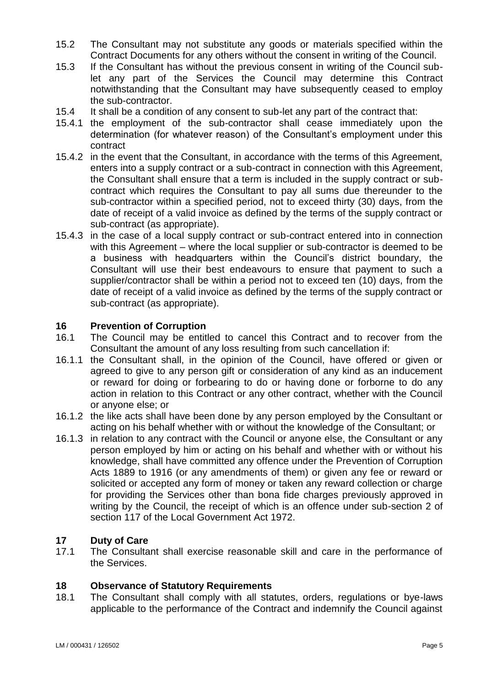- 15.2 The Consultant may not substitute any goods or materials specified within the Contract Documents for any others without the consent in writing of the Council.
- 15.3 If the Consultant has without the previous consent in writing of the Council sublet any part of the Services the Council may determine this Contract notwithstanding that the Consultant may have subsequently ceased to employ the sub-contractor.
- 15.4 It shall be a condition of any consent to sub-let any part of the contract that:
- 15.4.1 the employment of the sub-contractor shall cease immediately upon the determination (for whatever reason) of the Consultant's employment under this contract
- 15.4.2 in the event that the Consultant, in accordance with the terms of this Agreement, enters into a supply contract or a sub-contract in connection with this Agreement, the Consultant shall ensure that a term is included in the supply contract or subcontract which requires the Consultant to pay all sums due thereunder to the sub-contractor within a specified period, not to exceed thirty (30) days, from the date of receipt of a valid invoice as defined by the terms of the supply contract or sub-contract (as appropriate).
- 15.4.3 in the case of a local supply contract or sub-contract entered into in connection with this Agreement – where the local supplier or sub-contractor is deemed to be a business with headquarters within the Council's district boundary, the Consultant will use their best endeavours to ensure that payment to such a supplier/contractor shall be within a period not to exceed ten (10) days, from the date of receipt of a valid invoice as defined by the terms of the supply contract or sub-contract (as appropriate).

# **16 Prevention of Corruption**

- 16.1 The Council may be entitled to cancel this Contract and to recover from the Consultant the amount of any loss resulting from such cancellation if:
- 16.1.1 the Consultant shall, in the opinion of the Council, have offered or given or agreed to give to any person gift or consideration of any kind as an inducement or reward for doing or forbearing to do or having done or forborne to do any action in relation to this Contract or any other contract, whether with the Council or anyone else; or
- 16.1.2 the like acts shall have been done by any person employed by the Consultant or acting on his behalf whether with or without the knowledge of the Consultant; or
- 16.1.3 in relation to any contract with the Council or anyone else, the Consultant or any person employed by him or acting on his behalf and whether with or without his knowledge, shall have committed any offence under the Prevention of Corruption Acts 1889 to 1916 (or any amendments of them) or given any fee or reward or solicited or accepted any form of money or taken any reward collection or charge for providing the Services other than bona fide charges previously approved in writing by the Council, the receipt of which is an offence under sub-section 2 of section 117 of the Local Government Act 1972.

# **17 Duty of Care**

17.1 The Consultant shall exercise reasonable skill and care in the performance of the Services.

# **18 Observance of Statutory Requirements**

18.1 The Consultant shall comply with all statutes, orders, regulations or bye-laws applicable to the performance of the Contract and indemnify the Council against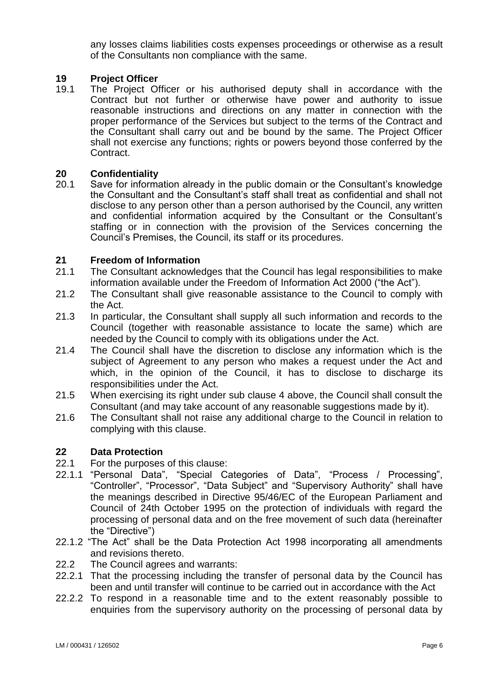any losses claims liabilities costs expenses proceedings or otherwise as a result of the Consultants non compliance with the same.

# **19 Project Officer**

19.1 The Project Officer or his authorised deputy shall in accordance with the Contract but not further or otherwise have power and authority to issue reasonable instructions and directions on any matter in connection with the proper performance of the Services but subject to the terms of the Contract and the Consultant shall carry out and be bound by the same. The Project Officer shall not exercise any functions; rights or powers beyond those conferred by the Contract.

# **20 Confidentiality**

Save for information already in the public domain or the Consultant's knowledge the Consultant and the Consultant's staff shall treat as confidential and shall not disclose to any person other than a person authorised by the Council, any written and confidential information acquired by the Consultant or the Consultant's staffing or in connection with the provision of the Services concerning the Council's Premises, the Council, its staff or its procedures.

# **21 Freedom of Information**

- 21.1 The Consultant acknowledges that the Council has legal responsibilities to make information available under the Freedom of Information Act 2000 ("the Act").
- 21.2 The Consultant shall give reasonable assistance to the Council to comply with the Act.
- 21.3 In particular, the Consultant shall supply all such information and records to the Council (together with reasonable assistance to locate the same) which are needed by the Council to comply with its obligations under the Act.
- 21.4 The Council shall have the discretion to disclose any information which is the subject of Agreement to any person who makes a request under the Act and which, in the opinion of the Council, it has to disclose to discharge its responsibilities under the Act.
- 21.5 When exercising its right under sub clause 4 above, the Council shall consult the Consultant (and may take account of any reasonable suggestions made by it).
- 21.6 The Consultant shall not raise any additional charge to the Council in relation to complying with this clause.

# **22 Data Protection**

- 22.1 For the purposes of this clause:
- 22.1.1 "Personal Data", "Special Categories of Data", "Process / Processing", "Controller", "Processor", "Data Subject" and "Supervisory Authority" shall have the meanings described in Directive 95/46/EC of the European Parliament and Council of 24th October 1995 on the protection of individuals with regard the processing of personal data and on the free movement of such data (hereinafter the "Directive")
- 22.1.2 "The Act" shall be the Data Protection Act 1998 incorporating all amendments and revisions thereto.
- 22.2 The Council agrees and warrants:
- 22.2.1 That the processing including the transfer of personal data by the Council has been and until transfer will continue to be carried out in accordance with the Act
- 22.2.2 To respond in a reasonable time and to the extent reasonably possible to enquiries from the supervisory authority on the processing of personal data by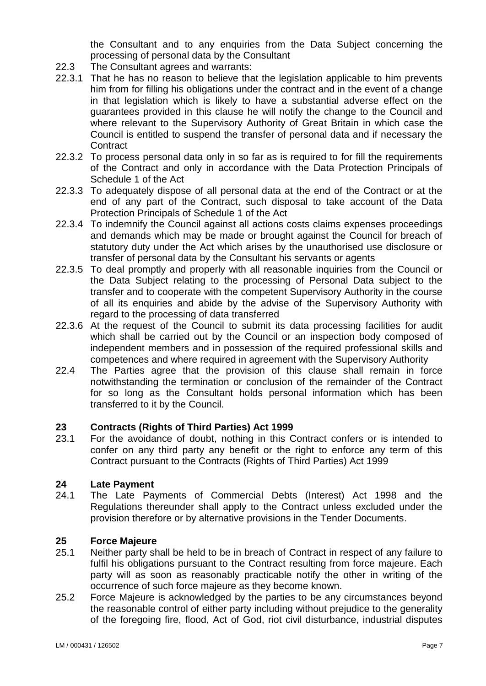the Consultant and to any enquiries from the Data Subject concerning the processing of personal data by the Consultant

- 22.3 The Consultant agrees and warrants:
- 22.3.1 That he has no reason to believe that the legislation applicable to him prevents him from for filling his obligations under the contract and in the event of a change in that legislation which is likely to have a substantial adverse effect on the guarantees provided in this clause he will notify the change to the Council and where relevant to the Supervisory Authority of Great Britain in which case the Council is entitled to suspend the transfer of personal data and if necessary the **Contract**
- 22.3.2 To process personal data only in so far as is required to for fill the requirements of the Contract and only in accordance with the Data Protection Principals of Schedule 1 of the Act
- 22.3.3 To adequately dispose of all personal data at the end of the Contract or at the end of any part of the Contract, such disposal to take account of the Data Protection Principals of Schedule 1 of the Act
- 22.3.4 To indemnify the Council against all actions costs claims expenses proceedings and demands which may be made or brought against the Council for breach of statutory duty under the Act which arises by the unauthorised use disclosure or transfer of personal data by the Consultant his servants or agents
- 22.3.5 To deal promptly and properly with all reasonable inquiries from the Council or the Data Subject relating to the processing of Personal Data subject to the transfer and to cooperate with the competent Supervisory Authority in the course of all its enquiries and abide by the advise of the Supervisory Authority with regard to the processing of data transferred
- 22.3.6 At the request of the Council to submit its data processing facilities for audit which shall be carried out by the Council or an inspection body composed of independent members and in possession of the required professional skills and competences and where required in agreement with the Supervisory Authority
- 22.4 The Parties agree that the provision of this clause shall remain in force notwithstanding the termination or conclusion of the remainder of the Contract for so long as the Consultant holds personal information which has been transferred to it by the Council.

# **23 Contracts (Rights of Third Parties) Act 1999**

23.1 For the avoidance of doubt, nothing in this Contract confers or is intended to confer on any third party any benefit or the right to enforce any term of this Contract pursuant to the Contracts (Rights of Third Parties) Act 1999

# **24 Late Payment**

24.1 The Late Payments of Commercial Debts (Interest) Act 1998 and the Regulations thereunder shall apply to the Contract unless excluded under the provision therefore or by alternative provisions in the Tender Documents.

# **25 Force Majeure**

- 25.1 Neither party shall be held to be in breach of Contract in respect of any failure to fulfil his obligations pursuant to the Contract resulting from force majeure. Each party will as soon as reasonably practicable notify the other in writing of the occurrence of such force majeure as they become known.
- 25.2 Force Majeure is acknowledged by the parties to be any circumstances beyond the reasonable control of either party including without prejudice to the generality of the foregoing fire, flood, Act of God, riot civil disturbance, industrial disputes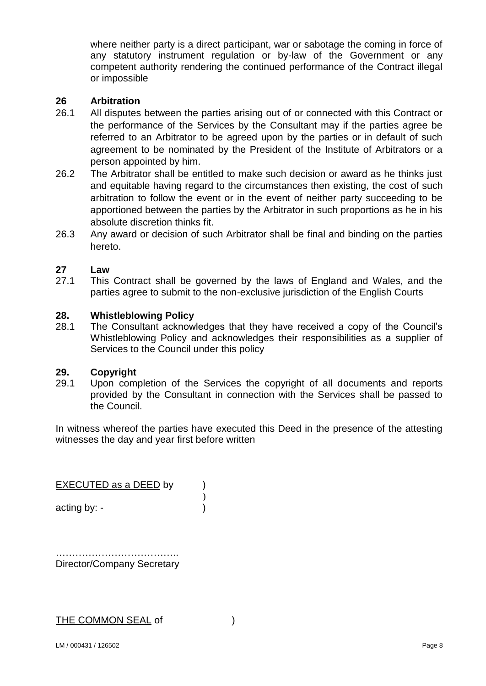where neither party is a direct participant, war or sabotage the coming in force of any statutory instrument regulation or by-law of the Government or any competent authority rendering the continued performance of the Contract illegal or impossible

# **26 Arbitration**

- 26.1 All disputes between the parties arising out of or connected with this Contract or the performance of the Services by the Consultant may if the parties agree be referred to an Arbitrator to be agreed upon by the parties or in default of such agreement to be nominated by the President of the Institute of Arbitrators or a person appointed by him.
- 26.2 The Arbitrator shall be entitled to make such decision or award as he thinks just and equitable having regard to the circumstances then existing, the cost of such arbitration to follow the event or in the event of neither party succeeding to be apportioned between the parties by the Arbitrator in such proportions as he in his absolute discretion thinks fit.
- 26.3 Any award or decision of such Arbitrator shall be final and binding on the parties hereto.

# **27 Law**

27.1 This Contract shall be governed by the laws of England and Wales, and the parties agree to submit to the non-exclusive jurisdiction of the English Courts

# **28. Whistleblowing Policy**

28.1 The Consultant acknowledges that they have received a copy of the Council's Whistleblowing Policy and acknowledges their responsibilities as a supplier of Services to the Council under this policy

# **29. Copyright**

29.1 Upon completion of the Services the copyright of all documents and reports provided by the Consultant in connection with the Services shall be passed to the Council.

In witness whereof the parties have executed this Deed in the presence of the attesting witnesses the day and year first before written

EXECUTED as a DEED by )

acting by: - (a)

………………………………………………… Director/Company Secretary

# THE COMMON SEAL of  $\qquad \qquad$  )

)